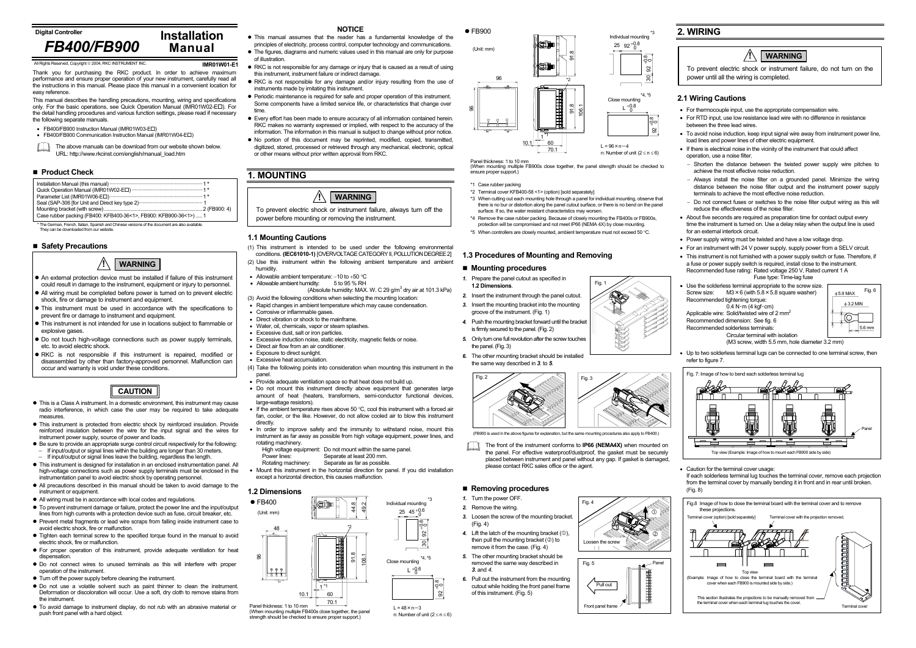#### **Digital Controller**

**IMR01W01-E1**

Thank you for purchasing the RKC product. In order to achieve maximum performance and ensure proper operation of your new instrument, carefully read all the instructions in this manual. Please place this manual in a convenient location for easy reference.

 $\Box$ The above manuals can be download from our website shown below. URL: http://www.rkcinst.com/english/manual\_load.htm

#### ■ Product Check

This manual describes the handling precautions, mounting, wiring and specifications only. For the basic operations, see Quick Operation Manual (IMR01W02-E ). For the detail handling procedures and various function settings, please read if necessary the following separate manuals.

● FB400/FB900 Instruction Manual (IMR01W03-E口)

● FB400/FB900 Communication Instruction Manual (IMR01W04-E口)

#### **Safety Precautions**

- This is a Class A instrument. In a domestic environment, this instrument may cause radio interference, in which case the user may be required to take adequate measures.
- This instrument is protected from electric shock by reinforced insulation. Provide reinforced insulation between the wire for the input signal and the wires for instrument power supply, source of power and loads.
- $\bullet$  Be sure to provide an appropriate surge control circuit respectively for the following: If input/output or signal lines within the building are longer than 30 meters. <sup>−</sup>If input/output or signal lines leave the building, regardless the length.
- This instrument is designed for installation in an enclosed instrumentation panel. All high-voltage connections such as power supply terminals must be enclosed in the instrumentation panel to avoid electric shock by operating personnel.
- All precautions described in this manual should be taken to avoid damage to the instrument or equipment.
- All wiring must be in accordance with local codes and regulations.
- To prevent instrument damage or failure, protect the power line and the input/output lines from high currents with a protection device such as fuse, circuit breaker, etc.
- Prevent metal fragments or lead wire scraps from falling inside instrument case to avoid electric shock, fire or malfunction.
- $\bullet$  Tighten each terminal screw to the specified torque found in the manual to avoid electric shock, fire or malfunction.
- $\bullet$  For proper operation of this instrument, provide adequate ventilation for heat dispensation
- $\bullet$  Do not connect wires to unused terminals as this will interfere with proper operation of the instrument.
- $\bullet$  Turn off the power supply before cleaning the instrument.
- $\bullet$  Do not use a volatile solvent such as paint thinner to clean the instrument. Deformation or discoloration will occur. Use a soft, dry cloth to remove stains from the instrument.
- $\bullet$  To avoid damage to instrument display, do not rub with an abrasive material or push front panel with a hard object.
- **NOTICE**
- $\bullet$  This manual assumes that the reader has a fundamental knowledge of the principles of electricity, process control, computer technology and communications.
- The figures, diagrams and numeric values used in this manual are only for purpose of illustration.
- $\bullet$  RKC is not responsible for any damage or injury that is caused as a result of using this instrument, instrument failure or indirect damage.
- RKC is not responsible for any damage and/or injury resulting from the use of instruments made by imitating this instrument.
- Periodic maintenance is required for safe and proper operation of this instrument. Some components have a limited service life, or characteristics that change over time.
- Every effort has been made to ensure accuracy of all information contained herein. RKC makes no warranty expressed or implied, with respect to the accuracy of the information. The information in this manual is subject to change without prior notice.
- $\bullet$  No portion of this document may be reprinted, modified, copied, transmitted, digitized, stored, processed or retrieved through any mechanical, electronic, optical or other means without prior written approval from RKC.

# **1. MOUNTING**

#### **1.1 Mounting Cautions**

- (1) This instrument is intended to be used under the following environmental conditions. **(IEC61010-1)** [OVERVOLTAGE CATEGORY II, POLLUTION DEGREE 2]
- (2) Use this instrument within the following ambient temperature and ambient humidity.
- Allowable ambient temperature: −10 to +50 °C
- Allowable ambient humidity: 5 to 95 % RH
- (Absolute humidity: MAX, W. C 29  $\alpha/m^3$  dry air at 101.3 kPa) (3) Avoid the following conditions when selecting the mounting location:
- Rapid changes in ambient temperature which may cause condensation.
- Corrosive or inflammable gases.
- Direct vibration or shock to the mainframe.
- Water, oil, chemicals, vapor or steam splashes.
- Excessive dust, salt or iron particles.
- Excessive induction noise, static electricity, magnetic fields or noise.
- Direct air flow from an air conditioner.
- Exposure to direct sunlight
- Excessive heat accumulation.
- (4) Take the following points into consideration when mounting this instrument in the panel.
- Provide adequate ventilation space so that heat does not build up.
- Do not mount this instrument directly above equipment that generates large amount of heat (heaters, transformers, semi-conductor functional devices, large-wattage resistors).
- If the ambient temperature rises above 50  $^{\circ}$ C, cool this instrument with a forced air fan, cooler, or the like. However, do not allow cooled air to blow this instrument directly.
- In order to improve safety and the immunity to withstand noise, mount this instrument as far away as possible from high voltage equipment, power lines, and
- rotating machinery.
- High voltage equipment: Do not mount within the same panel.<br>Power lines: Separate at least 200 mm
- Separate at least 200 mm.
- Rotating machinery: Separate as far as possible.
- Mount this instrument in the horizontal direction for panel. If you did installation except a horizontal direction, this causes malfunction.
- $\bullet$  An external protection device must be installed if failure of this instrument could result in damage to the instrument, equipment or injury to personnel.
- All wiring must be completed before power is turned on to prevent electric shock, fire or damage to instrument and equipment.
- This instrument must be used in accordance with the specifications to prevent fire or damage to instrument and equipment.
- This instrument is not intended for use in locations subject to flammable or explosive gases
- $\bullet$  Do not touch high-voltage connections such as power supply terminals, etc. to avoid electric shock.
- RKC is not responsible if this instrument is repaired, modified or disassembled by other than factory-approved personnel. Malfunction can occur and warranty is void under these conditions.



### **1.3 Procedures of Mounting and Removing**

#### **Mounting procedures**

 (When mounting multiple FB400s close together, the panel strength should be checked to ensure proper support.)

 $\bullet$  FB900

- *1.* Prepare the panel cutout as specified in **1.2 Dimensions**.
- *2.* Insert the instrument through the panel cutout.
- *3.* Insert the mounting bracket into the mounting groove of the instrument. (Fig. 1)
- *4.* Push the mounting bracket forward until the bracket is firmly secured to the panel. (Fig. 2)
- *5.* Only turn one full revolution after the screw touches the panel. (Fig. 3)
- *6.* The other mounting bracket should be installed the same way described in *3.* to *5*.

The front of the instrument conforms to **IP66 (NEMA4X)** when mounted on  $\Box$ the panel. For effective waterproof/dustproof, the gasket must be securely placed between instrument and panel without any gap. If gasket is damaged, please contact RKC sales office or the agent.

# ■ Removing procedures

- *1.* Turn the power OFF.
- *2.* Remove the wiring. *3.* Loosen the screw of the mounting bracket.
- (Fig. 4)
- 4. Lift the latch of the mounting bracket  $(①)$ , then pull the mounting bracket (2) to remove it from the case. (Fig. 4)
- *5.* The other mounting bracket should be removed the same way described in *3.* and *4*.
- *6.* Pull out the instrument from the mounting cutout while holding the front panel frame of this instrument. (Fig. 5)

## **2. WIRING**

## **2.1 Wiring Cautions**

• For thermocouple input, use the appropriate compensation wire.

- For RTD input, use low resistance lead wire with no difference in resistance between the three lead wires.
- To avoid noise induction, keep input signal wire away from instrument power line, load lines and power lines of other electric equipment.
- If there is electrical noise in the vicinity of the instrument that could affect operation, use a noise filter.
- <sup>−</sup>Shorten the distance between the twisted power supply wire pitches to achieve the most effective noise reduction.
- <sup>−</sup>Always install the noise filter on a grounded panel. Minimize the wiring distance between the noise filter output and the instrument power supply terminals to achieve the most effective noise reduction.
- <sup>−</sup>Do not connect fuses or switches to the noise filter output wiring as this will reduce the effectiveness of the noise filter.
- About five seconds are required as preparation time for contact output every time the instrument is turned on. Use a delay relay when the output line is used for an external interlock circuit.
- Power supply wiring must be twisted and have a low voltage drop.
- For an instrument with 24 V power supply, supply power from a SELV circuit. • This instrument is not furnished with a power supply switch or fuse. Therefore, if a fuse or power supply switch is required, install close to the instrument.

Recommended fuse rating: Rated voltage 250 V, Rated current 1 A

Fuse type: Time-lag fuse

- Use the solderless terminal appropriate to the screw size. Screw size:  $M3\times6$  (with 5.8  $\times$  5.8 square washer) Recommended tightening torque:  $0.4 N·m (4 kaf·cm)$ Applicable wire: Solid/twisted wire of 2 mm<sup>2</sup>
- Recommended dimension: See fig. 6
- Recommended solderless terminals:

 Circular terminal with isolation (M3 screw, width 5.5 mm, hole diameter 3.2 mm)

• Up to two solderless terminal lugs can be connected to one terminal screw, then refer to figure 7.

• Caution for the terminal cover usage:

If each solderless terminal lug touches the terminal cover, remove each projection from the terminal cover by manually bending it in front and in rear until broken. (Fig. 8)

# *FB400/FB900*

| Case rubber packing (FB400: KFB400-36<1>, FB900: KFB900-36<1>)1 |  |
|-----------------------------------------------------------------|--|

**Installation Manual**

All Rights Reserved, Copyright 2004, RKC INSTRUMENT INC.

φ 5.9 MAX φ 3.2 MIN

 $5.6$  mm

Fig. 6

- \*1 Case rubber packing
- \*2 Terminal cover KFB400-58 <1> (option) [sold separately]
- \*3 When cutting out each mounting hole through a panel for individual mounting, observe that there is no bur or distortion along the panel cutout surface, or there is no bend on the panel surface. If so, the water resistant characteristics may worsen.
- \*4 Remove the case rubber packing. Because of closely mounting the FB400s or FB900s, protection will be compromised and not meet IP66 (NEMA 4X) by close mounting.
- \*5 When controllers are closely mounted, ambient temperature must not exceed 50 °C.

**!**

## **WARNING**

# **CAUTION**



To prevent electric shock or instrument failure, do not turn on the power until all the wiring is completed.

#### **!WARNING**



\* The German, French, Italian, Spanish and Chinese versions of the document are also available. They can be downloaded from our website.



n: Number of unit (2 <sup>≤</sup> n <sup>≤</sup> 6)

 $+0.8$  $\frac{1}{92}$ 

 $25\;\; 45\;\; ^{+0.6}_{-0}$ 

L  $^{+0.6}_{-0}$ 

 $30^{+9.8}_{-92}$ ່ວ.<br>ອ2 \*3

 $*_{4} *_{5}$ 

Panel thickness: 1 to 10 mm (When mounting multiple FB900s close together, the panel strength should be checked to ensure proper support.)

(Unit: mm)

n: Number of unit (2 <sup>≤</sup> n <sup>≤</sup> 6)



96

(FB900 is used in the above figures for explanation, but the same mounting procedures also apply to FB400.)



Fig. 1

Front panel frame

Fig. 5

Pull out

Panel